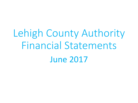Lehigh County Authority Financial Statements June 2017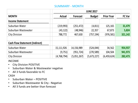## SUMMARY - MONTH

|                                       | <b>JUNE 2017</b> |                 |               |                   |               |  |  |
|---------------------------------------|------------------|-----------------|---------------|-------------------|---------------|--|--|
| <b>MONTH</b>                          | <b>Actual</b>    | <b>Forecast</b> | <b>Budget</b> | <b>Prior Year</b> | <b>FC Var</b> |  |  |
| <b>Income Statement</b>               |                  |                 |               |                   |               |  |  |
| Suburban Water                        | (219, 993)       | (251, 472)      | (4, 811)      | 125,165           | 31,479        |  |  |
| Suburban Wastewater                   | (43, 122)        | (48,946)        | 22,357        | 67,873            | 5,824         |  |  |
| <b>City Division</b>                  | 788,772          | 467,630         | (757, 194)    | (976, 581)        | 321,142       |  |  |
|                                       |                  |                 |               |                   |               |  |  |
| <b>Cash Flow Statement (Indirect)</b> |                  |                 |               |                   |               |  |  |
| Suburban Water                        | 15, 111, 926     | 14,156,989      | (524, 044)    | 34,562            | 954,937       |  |  |
| Suburban Wastewater                   | (9,751)          | (951, 724)      | (270, 589)    | 104,504           | 941,973       |  |  |
| <b>City Division</b>                  | (4,768,794)      | (5,051,267)     | (5,673,227)   | (6,459,624)       | 282,473       |  |  |

### INCOME

- City Division POSITIVE
- Suburban Water & Wastewater negative
- All 3 funds favorable to FC

### CASH

- Suburban Water POSITIVE
- Suburban Wastewater & City Negative
- All 3 funds are better than forecast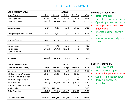## SUBURBAN WATER - MONTH

| <b>MONTH - SUBURBAN WATER</b>         | <b>JUNE 2017</b> |            |                  |                   |           |  |
|---------------------------------------|------------------|------------|------------------|-------------------|-----------|--|
| <b>Income Statement</b>               | <b>Actual</b>    | Forecast   | <b>Budget</b>    | <b>Prior Year</b> | FC Var    |  |
| <b>Operating Revenues</b>             | 801,790          | 795,789    | 759,243          | 726,978           | 6,001     |  |
| <b>Operating (Expenses)</b>           | (715, 613)       | (757, 566) | (734, 533)       | (565, 153)        | 41,953    |  |
| Operating Income                      | 86,176           | 38,223     | 24,710           | 161,825           | 47,953    |  |
| Non-Operating Revenues (Expenses)     | 62,150           | 80,483     | 66,167           | 46,334            | (18, 333) |  |
| Income Before Interest                | 148,326          | 118,706    | 90,877           | 208,159           | 29,620    |  |
| Interest Income                       | 7,700            | 6,795      | 16,667           | 4,447             | 905       |  |
| Interest Expense                      | (376, 019)       | (376, 973) | (112, 355)       | (87, 441)         | 954       |  |
| Capital Contributions                 |                  |            |                  |                   |           |  |
| <b>NET INCOME</b>                     | (219, 993)       | (251, 472) | (4, 811)         | 125,165           | 31,479    |  |
| <b>MONTH - SUBURBAN WATER</b>         |                  |            | <b>JUNE 2017</b> |                   |           |  |
| <b>Cash Flow Statement (Indirect)</b> | <b>Actual</b>    | Forecast   | <b>Budget</b>    | <b>Prior Year</b> | FC Var    |  |
| Net Income                            | (219, 993)       | (251, 472) | (4, 811)         | 125,165           | 31,479    |  |
| Add: Depreciation & Amortization      | 245,832          | 245,832    | 245,833          | 245,832           |           |  |
| Add: Non-Cash Interest Expense        |                  | 1          |                  | (0)               | (1)       |  |
| Add: Capex Charged to Expense         | 31,602           | 187        | 8,333            | 406               | 31,415    |  |
| <b>Principal Payments</b>             | (139, 015)       | (128, 565) | (152, 816)       | (136, 619)        | (10, 450) |  |
| <b>Investments Converting To Cash</b> |                  |            |                  |                   |           |  |
| New Borrowing                         | 15,292,006       | 15,215,000 |                  |                   | 77,006    |  |
| Capital Expenditures                  | (98, 505)        | (923, 994) | (620, 583)       | (200, 221)        | 825,489   |  |
| <b>NET FUND CASH FLOWS</b>            | 15,111,926       | 14,156,989 | (524, 044)       | 34,562            | 954,937   |  |

#### **Income (Actual vs. FC)**

- **Better by \$31k**
- Operating revenues higher
- Operating expenses lower
- Non-operating rev(exp) unfavorable
- Interest income slightly higher
- Interest expense slightly lower

#### **Cash (Actual vs. FC)**

- **Higher by \$955k**
- Net Income higher
- Principal payments higher
- Capex significantly lower
- Borrowing proceeds favorable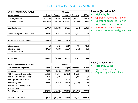## SUBURBAN WASTEWATER - MONTH

| <b>MONTH - SUBURBAN WASTEWATER</b>    |               | <b>JUNE 2017</b> |                  |                   |               |  |  |
|---------------------------------------|---------------|------------------|------------------|-------------------|---------------|--|--|
| <b>Income Statement</b>               | <b>Actual</b> | Forecast         | <b>Budget</b>    | <b>Prior Year</b> | <b>FC Var</b> |  |  |
| <b>Operating Revenues</b>             | 1,201,036     | 1,350,980        | 1,563,773        | 1,506,813         | (149, 944)    |  |  |
| <b>Operating (Expenses)</b>           | (1,438,495)   | (1,496,370)      | (1, 546, 447)    | (1,513,970)       | 57,875        |  |  |
| Operating Income                      | (237, 459)    | (145, 390)       | 17,326           | (7, 157)          | (92,069)      |  |  |
| Non-Operating Revenues (Expenses)     | 212,176       | 109,942          | 66,083           | 91,874            | 102,234       |  |  |
| Income Before Interest Expense        | (25, 283)     | (35, 448)        | 83,409           | 84,717            | 10,165        |  |  |
| Interest Income                       | 68            | 4,602            | 9,917            | 728               | (4, 534)      |  |  |
| <b>Interest Expense</b>               | (17, 907)     | (18, 100)        | (70, 969)        | (17, 572)         | 193           |  |  |
| <b>Capital Contributions</b>          |               |                  |                  |                   |               |  |  |
| <b>NET INCOME</b>                     | (43, 122)     | (48, 946)        | 22,357           | 67,873            | 5,824         |  |  |
| <b>MONTH - SUBURBAN WASTEWATER</b>    |               |                  | <b>JUNE 2017</b> |                   |               |  |  |
| <b>Cash Flow Statement (Indirect)</b> | <b>Actual</b> | Forecast         | <b>Budget</b>    | <b>Prior Year</b> | <b>FC Var</b> |  |  |
| Net Income                            | (43, 122)     | (48, 946)        | 22,357           | 67,873            | 5,824         |  |  |
| Add: Depreciation & Amortization      | 364,694       | 364,694          | 327,083          | 334,133           |               |  |  |
| Add: Non-Cash Interest Expense        | 2,721         | 2,928            |                  | 3,036             | (207)         |  |  |
| Add: Capex Charged to Expense         | 385           |                  | 25,000           | 61                | 385           |  |  |
| <b>Principal Payments</b>             | (39, 364)     | (39, 602)        | (93, 946)        | (41, 879)         | 238           |  |  |
| Investments Converting To Cash        |               |                  |                  |                   |               |  |  |
| <b>New Borrowing</b>                  |               |                  |                  |                   |               |  |  |
| Capital Expenditures                  | (295,064)     | (1, 230, 798)    | (551,083)        | (258,719)         | 935,734       |  |  |
| <b>NET FUND CASH FLOWS</b>            | (9,751)       | (951, 724)       | (270, 589)       | 104,504           | 941,973       |  |  |

#### **Income (Actual vs. FC)**

- **Higher by \$6k**
- Operating revenues lower
- Operating expenses lower
- Non-op rev(exp) favorable
- Interest income lower
- Interest expenses slightly lower

#### **Cash (Actual vs. FC)**

- **Higher by \$942k**
- Net income higher
- Capex significantly lower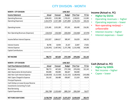## CITY DIVISION - MONTH

| <b>MONTH - CITY DIVISION</b>          | <b>JUNE 2017</b> |               |                              |                   |               |  |
|---------------------------------------|------------------|---------------|------------------------------|-------------------|---------------|--|
| <b>Income Statement</b>               | Actual           | Forecast      | <b>Budget</b>                | <b>Prior Year</b> | FC Var        |  |
| <b>Operating Revenues</b>             | 4,044,453        | 3,932,388     | 2,745,021                    | 2,328,021         | 112,065       |  |
| <b>Operating (Expenses)</b>           | (1,812,973)      | (1, 917, 188) | (1,871,840)                  | (1,701,531)       | 104,216       |  |
| Operating Income                      | 2,231,481        | 2,015,200     | 873,181                      | 626,490           | 216,281       |  |
| Non-Operating Revenues (Expenses)     | (218, 553)       | (150, 583)    | (283, 834)                   | (310, 460)        | (67, 970)     |  |
| Income Before Interest Expense        | 2,012,927        | 1,864,617     | 589,347                      | 316,029           | 148,310       |  |
| Interest Income                       | 38,785           | 10,954        | 25,167                       | 22,847            | 27,831        |  |
| Interest Expense                      | (1, 262, 941)    | (1,407,941)   | (1, 371, 708)                | (1, 315, 458)     | 145,000       |  |
| <b>Capital Contributions</b>          |                  |               |                              |                   |               |  |
| <b>NET INCOME</b>                     | 788,772          | 467,630       | (757, 194)                   | (976, 581)        | 321,142       |  |
| <b>MONTH - CITY DIVISION</b>          |                  |               | <b>JUNE 2017</b>             |                   |               |  |
| <b>Cash Flow Statement (Indirect)</b> | <b>Actual</b>    | Forecast      | <b>Budget</b>                | <b>Prior Year</b> | <b>FC Var</b> |  |
| Net Income                            | 788,772          | 467,630       | (757, 194)                   | (976, 581)        | 321,142       |  |
| Add: Depreciation & Amortization      | 450,000          | 450,000       | 466,667                      | 450,000           |               |  |
| Add: Non-Cash Interest Expense        | (5,260,920)      | (5, 115, 920) | (5, 152, 153)                | (5,208,403)       | (145,000)     |  |
| Add: Capex Charged to Expense         | 216,142          | 166,488       | 658,667                      | 111,624           | 49,654        |  |
| <b>Principal Payments</b>             |                  |               |                              |                   |               |  |
| Cash Outlays on Lease & Lease Reserve |                  |               | $\qquad \qquad \blacksquare$ |                   |               |  |
| <b>Investments Converting To Cash</b> |                  |               |                              |                   |               |  |
| New Borrowing                         |                  |               |                              |                   |               |  |
| Capital Expenditures                  | (962, 788)       | (1,019,465)   | (889, 214)                   | (836, 264)        | 56,677        |  |
| <b>NET FUND CASH FLOWS</b>            | (4,768,794)      | (5,051,267)   | (5,673,227)                  | (6,459,624)       | 282,473       |  |

#### **Income (Actual vs. FC)**

- **Higher by \$321k**
- Operating revenues higher
- Operating expenses lower
- Non-operating rev(exp) unfavorable
- Interest income higher
- Interest expenses lower

#### **Cash (Actual vs. FC)**

- **Higher by \$282k**
- Net income higher
- Capex lower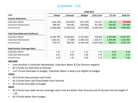## SUMMARY - YTD

|                                       | <b>JUNE 2017</b> |                 |               |                   |               |                |  |
|---------------------------------------|------------------|-----------------|---------------|-------------------|---------------|----------------|--|
| <b>YTD</b>                            | Actual           | <b>Forecast</b> | <b>Budget</b> | <b>Prior Year</b> | <b>FC Var</b> | <b>Bud Var</b> |  |
| <b>Income Statement</b>               |                  |                 |               |                   |               |                |  |
| Suburban Water                        | (262, 787)       | (418,903)       | (237, 203)    | 331,912           | 156,115       | (25, 584)      |  |
| Suburban Wastewater                   | 496,442          | 339,586         | (183,056)     | 351,588           | 156,857       | 679,498        |  |
| <b>City Division</b>                  | (1,036,904)      | (1,440,222)     | (5,971,869)   | (4,440,052)       | 403,318       | 4,934,965      |  |
|                                       |                  |                 |               |                   |               |                |  |
| <b>Cash Flow Statement (Indirect)</b> |                  |                 |               |                   |               |                |  |
| Suburban Water                        | 14,494,700       | 13,036,863      | (3,352,601)   | 358,958           | 1,457,838     | 17,847,301     |  |
| Suburban Wastewater                   | 1,282,321        | (77,084)        | (1,940,732)   | 1,356,371         | 1,359,405     | 3,223,053      |  |
| <b>City Division</b>                  | 676,377          | 268,700         | (3, 104, 762) | (3,491,445)       | 407,677       | 3,781,139      |  |
|                                       |                  |                 |               |                   |               |                |  |
| <b>Debt Service Coverage Ratio</b>    |                  |                 |               |                   |               |                |  |
| Suburban Water                        | 1.32             | 1.13            | 1.13          | 1.73              | 0.19          | 0.19           |  |
| Suburban Wastewater                   | 8.51             | 8.02            | 2.38          | 7.59              | 0.49          | 6.13           |  |
| <b>City Division</b>                  | 1.46             | 1.41            | 1.04          | 1.19              | 0.05          | 0.42           |  |

#### **INCOME**

- Lone positive is Suburban Wastewater, Suburban Water & City Division negative
- All 3 funds are favorable to forecast
- 2 of 3 funds favorable to budget, Suburban Water is down just slightly to budget

#### **CASH**

- All 3 funds have positive cash flows
- All 3 funds have cash flows better than forecast
- All 3 funds favorable to budget

#### **DSCR**

- All 3 funds have debt service coverage ratios that are better than forecast and all exceed internal target of 1.20
- All 3 funds better than budget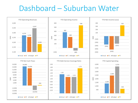## Dashboard – Suburban Water

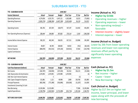## SUBURBAN WATER - YTD

| <b>YTD - SUBURBAN WATER</b>           | <b>JUNE 2017</b> |             |                                              |                   |           |                |
|---------------------------------------|------------------|-------------|----------------------------------------------|-------------------|-----------|----------------|
| <b>Income Statement</b>               | Actual           | Forecast    | <b>Budget</b>                                | <b>Prior Year</b> | FC Var    | <b>Bud Var</b> |
| <b>Operating Revenues</b>             | 4,274,058        | 4,255,735   | 4,347,121                                    | 4,182,680         | 18,323    | (73,063)       |
| <b>Operating (Expenses)</b>           | (3,892,276)      | (3,988,396) | (4,407,198)                                  | (3,635,483)       | 96,120    | 514,922        |
| Operating Income                      | 381,782          | 267,339     | (60,077)                                     | 547,197           | 114,442   | 441,859        |
| Non-Operating Revenues (Expenses)     | 200,444          | 194,900     | 397,002                                      | 270,114           | 5,543     | (196, 558)     |
| Income Before Interest Expense        | 582,225          | 462,240     | 336,925                                      | 817,311           | 119,986   | 245,300        |
| Interest Income                       | 39,857           | 40,769      | 100,002                                      | 44,052            | (912)     | (60, 145)      |
| Interest Expense                      | (884, 870)       | (921, 912)  | (674, 130)                                   | (529, 451)        | 37,042    | (210, 740)     |
| Capital Contributions                 |                  |             |                                              |                   |           |                |
| <b>NET INCOME</b>                     | (262, 787)       | (418, 903)  | (237, 203)                                   | 331,912           | 156,115   | (25, 584)      |
| <b>YTD - SUBURBAN WATER</b>           |                  |             | <b>JUNE 2017</b>                             |                   |           |                |
| <b>Cash Flow Statement (Indirect)</b> | Actual           | Forecast    | <b>Prior Year</b><br>FC Var<br><b>Budget</b> |                   |           | <b>Bud Var</b> |
| Net Income                            | (262, 787)       | (418, 903)  | (237, 203)                                   | 331,912           | 156,115   | (25, 584)      |
| Add: Depreciation & Amortization      | 1,474,992        | 1,474,992   | 1,474,998                                    | 1,474,992         |           | (6)            |
| Add: Non-Cash Interest Expense        |                  | 3           |                                              |                   | (3)       |                |
| Add: Capex Charged to Expense         | 151,881          | 1,121       | 49,998                                       | 2,800             | 150,760   | 101,883        |
| <b>Principal Payments</b>             | (802, 596)       | (771, 389)  | (916, 896)                                   | (819,030)         | (31, 207) | 114,300        |
| Investments Converting To Cash        |                  |             |                                              |                   |           |                |
| New Borrowing                         | 15,292,006       | 15,215,000  |                                              |                   | 77,006    | 15,292,006     |
| Capital Expenditures                  | (1,358,796)      | (2,463,962) | (3, 723, 498)                                | (631, 716)        | 1,105,166 | 2,364,702      |
| <b>NET FUND CASH FLOWS</b>            | 14,494,700       | 13,036,863  | (3,352,601)                                  | 358,958           | 1,457,838 | 17,847,301     |

#### **Income (Actual vs. FC)**

- **Higher by \$156k**
- Operating revenues higher
- Operating expenses lower
- Non-operating rev(exp) favorable
- Interest income slightly lower
- Interest expense lower

#### **Income (Actual vs. Budget)**

Lower by 26k from lower operating revenues and lower non-operating revenues offset partly by significantly lower operating expenses

#### **Cash (Actual vs. FC)**

- **Higher by \$1.5m**
- Net income higher
- Capex lower
- New Borrowing higher

#### **Cash (Actual vs. Budget)**

Higher by \$17.9m on higher net income, lower principal, and lower capex along with the proceeds of new borrowing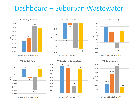## Dashboard – Suburban Wastewater

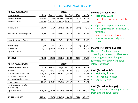## SUBURBAN WASTEWATER - YTD

| <b>YTD - SUBURBAN WASTEWATER</b>      | <b>JUNE 2017</b> |               |                  |                   |            |                |
|---------------------------------------|------------------|---------------|------------------|-------------------|------------|----------------|
| <b>Income Statement</b>               | Actual           | Forecast      | <b>Budget</b>    | <b>Prior Year</b> | FC Var     | <b>Bud Var</b> |
| <b>Operating Revenues</b>             | 8,316,849        | 8,495,878     | 9,065,440        | 8,966,183         | (179, 029) | (748,591)      |
| <b>Operating (Expenses)</b>           | (8,452,620)      | (8, 513, 217) | (9, 278, 682)    | (9, 190, 170)     | 60,598     | 826,062        |
| Operating Income                      | (135, 770)       | (17, 339)     | (213, 242)       | (223, 987)        | (118, 432) | 77,472         |
| Non-Operating Revenues (Expenses)     | 738,064          | 437,912       | 396,498          | 673,078           | 300,152    | 341,566        |
| Income Before Interest Expense        | 602,294          | 420,573       | 183,256          | 449,091           | 181,721    | 419,038        |
| Interest Income                       | 2,335            | 27,611        | 59,502           | 4,632             | (25, 276)  | (57, 167)      |
| Interest Expense                      | (108, 187)       | (108, 599)    | (425, 814)       | (102, 135)        | 412        | 317,627        |
| <b>Capital Contributions</b>          |                  |               |                  |                   |            |                |
| <b>NET INCOME</b>                     | 496,442          | 339,586       | (183, 056)       | 351,588           | 156,857    | 679,498        |
| <b>YTD - SUBURBAN WASTEWATER</b>      |                  |               | <b>JUNE 2017</b> |                   |            |                |
| <b>Cash Flow Statement (Indirect)</b> | Actual           | Forecast      | <b>Budget</b>    | <b>Prior Year</b> | FC Var     | <b>Bud Var</b> |
| Net Income                            | 496,442          | 339,586       | (183, 056)       | 351,588           | 156,856    | 679,498        |
| Add: Depreciation & Amortization      | 2,188,164        | 2,188,164     | 1,962,498        | 2,004,798         |            | 225,666        |
| Add: Non-Cash Interest Expense        | 17,082           | 17,567        |                  | 17,670            | (485)      | 17,082         |
| Add: Capex Charged to Expense         | 518              |               | 150,000          | 1,001             | 518        | (149, 482)     |
| <b>Principal Payments</b>             | (236,999)        | (237, 612)    | (563, 676)       | (239, 542)        | 613        | 326,677        |
| Investments Converting To Cash        |                  |               |                  |                   |            |                |
| <b>New Borrowing</b>                  |                  |               |                  |                   |            |                |
| Capital Expenditures                  | (1, 182, 886)    | (2, 384, 789) | (3,306,498)      | (779, 143)        | 1,201,903  | 2,123,612      |
| <b>NET FUND CASH FLOWS</b>            | 1,282,321        | (77,084)      | (1,940,732)      | 1,356,371         | 1,359,405  | 3,223,053      |

#### **Income (Actual vs. FC)**

- **Higher by \$157k**
- Operating revenues slightly lower
- Operating expenses lower
- Non-op rev (exp) significantly favorable
- Interest income lower
- Interest expense slightly lower

#### **Income (Actual vs. Budget)**

Higher by \$680k on lower operating expenses to offset lower operating revenues along with favorable non-op rev and lower interest expense

#### **Cash (Actual vs. FC)**

- **Higher by \$1.4m**
- Net income higher
- Capex lower

#### **Cash (Actual vs. Budget)**

Higher by \$3.2m from higher cash from ops and lower capex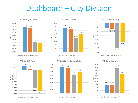# Dashboard – City Division

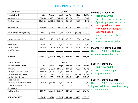## CITY DIVISION - YTD

| <b>YTD - CITY DIVISION</b>            | <b>JUNE 2017</b> |                |                  |                   | Income (Actual v |                |                                                        |
|---------------------------------------|------------------|----------------|------------------|-------------------|------------------|----------------|--------------------------------------------------------|
| <b>Income Statement</b>               | Actual           | Forecast       | <b>Budget</b>    | <b>Prior Year</b> | FC Var           | <b>Bud Var</b> | Higher by \$4                                          |
| <b>Operating Revenues</b>             | 17,378,248       | 17,247,325     | 15,041,421       | 14,851,284        | 130,923          | 2,336,827      | <b>Operating rev</b><br>$\bullet$                      |
| <b>Operating (Expenses)</b>           | (10,611,622)     | (10, 812, 129) | (11, 231, 040)   | (9,951,708)       | 200,507          | 619,418        | <b>Operating ex</b><br>$\bullet$                       |
| Operating Income                      | 6,766,626        | 6,435,196      | 3,810,381        | 4,899,577         | 331,430          | 2,956,245      | $Non-ops - lo$<br>$\bullet$<br>reimburseme             |
| Non-Operating Revenues (Expenses)     | (449, 895)       | (343, 497)     | (1,703,004)      | (1,649,945)       | (106, 398)       | 1,253,109      | expensed cap                                           |
| Income Before Interest Expense        | 6,316,731        | 6,091,699      | 2,107,377        | 3,249,632         | 225,032          | 4,209,354      | Interest incor<br>$\bullet$<br>higher<br>Interest expe |
| Interest Income                       | 224,011          | 190,724        | 151,002          | 203,064           | 33,286           | 73,009         |                                                        |
| Interest Expense                      | (7,577,646)      | (7, 722, 646)  | (8, 230, 248)    | (7,892,748)       | 145,000          | 652,602        | <b>Income (Actual v</b>                                |
| <b>Capital Contributions</b>          |                  |                |                  |                   |                  |                | Higher by \$4.9m                                       |
|                                       |                  |                |                  |                   |                  |                | variances across                                       |
| <b>NET INCOME</b>                     | (1,036,904)      | (1,440,222)    | (5,971,869)      | (4,440,052)       | 403,318          | 4,934,965      |                                                        |
| <b>YTD - CITY DIVISION</b>            |                  |                | <b>JUNE 2017</b> |                   |                  |                |                                                        |
| <b>Cash Flow Statement (Indirect)</b> | <b>Actual</b>    | Forecast       | <b>Budget</b>    | <b>Prior Year</b> | FC Var           | <b>Bud Var</b> | Cash (Actual vs.                                       |
| Net Income                            | (1,036,904)      | (1,440,222)    | (5,971,869)      | (4,440,052)       | 403,318          | 4,934,965      | <b>Higher by \$4</b>                                   |
| Add: Depreciation & Amortization      | 2,700,000        | 2,700,000      | 2,800,002        | 2,700,000         |                  | (100,002)      | Net income -                                           |
| Add: Non-Cash Interest Expense        | 1,053,785        | 1,198,785      | 1,706,387        | 1,368,887         | (145,000)        | (652, 602)     | $Capex - lowe$                                         |
| Add: Capex Charged to Expense         | 679,943          | 598,927        | 3,952,002        | 1,320,212         | 81,016           | (3, 272, 059)  |                                                        |
| <b>Principal Payments</b>             |                  |                |                  |                   |                  |                | Cash (Actual vs.                                       |
| Cash Outlays on Lease & Lease Reserve | (252,000)        | (252,000)      | (256,000)        | (250,000)         |                  | 4,000          | Higher by \$3.7m                                       |
| Investments Converting To Cash        |                  |                |                  |                   |                  |                | higher cash from                                       |
| New Borrowing                         |                  |                |                  |                   |                  |                | with lower capex                                       |
| Capital Expenditures                  | (2,468,447)      | (2,536,790)    | (5, 335, 284)    | (4, 190, 492)     | 68,343           | 2,866,837      |                                                        |
| <b>NET FUND CASH FLOWS</b>            | 676,377          | 268,700        | (3, 104, 762)    | (3,491,445)       | 407,677          | 3,781,139      |                                                        |

#### **Income (Actual vs. FC)**

- **Higher by \$403k**
- Operating revenues higher
- Operating expenses lower
- Non-ops lower project reimbursement & higher expensed capex
- Interest income slightly higher
- Interest expenses lower

#### **Income (Actual vs. Budget)**

Higher by \$4.9m with favorable variances across the board

#### **Cash (Actual vs. FC)**

- **Higher by \$408k**
- Net income higher
- Capex lower

#### **Cash (Actual vs. Budget)**

Higher by \$3.7m due, mainly to higher cash from operations along